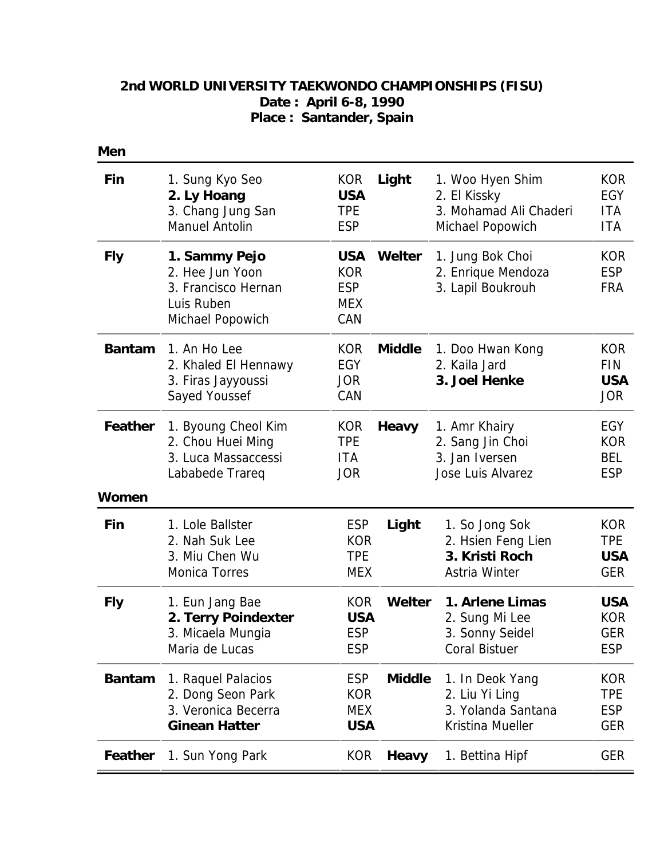## **2nd WORLD UNIVERSITY TAEKWONDO CHAMPIONSHIPS (FISU) Date : April 6-8, 1990 Place : Santander, Spain**

| Men           |                                                                                           |                                                             |               |                                                                                |                                                      |
|---------------|-------------------------------------------------------------------------------------------|-------------------------------------------------------------|---------------|--------------------------------------------------------------------------------|------------------------------------------------------|
| Fin           | 1. Sung Kyo Seo<br>2. Ly Hoang<br>3. Chang Jung San<br><b>Manuel Antolin</b>              | <b>KOR</b><br><b>USA</b><br><b>TPE</b><br><b>ESP</b>        | Light         | 1. Woo Hyen Shim<br>2. El Kissky<br>3. Mohamad Ali Chaderi<br>Michael Popowich | <b>KOR</b><br><b>EGY</b><br>ITA<br><b>ITA</b>        |
| <b>Fly</b>    | 1. Sammy Pejo<br>2. Hee Jun Yoon<br>3. Francisco Hernan<br>Luis Ruben<br>Michael Popowich | <b>USA</b><br><b>KOR</b><br><b>ESP</b><br><b>MEX</b><br>CAN | Welter        | 1. Jung Bok Choi<br>2. Enrique Mendoza<br>3. Lapil Boukrouh                    | <b>KOR</b><br><b>ESP</b><br><b>FRA</b>               |
| <b>Bantam</b> | 1. An Ho Lee<br>2. Khaled El Hennawy<br>3. Firas Jayyoussi<br>Sayed Youssef               | <b>KOR</b><br>EGY<br><b>JOR</b><br>CAN                      | <b>Middle</b> | 1. Doo Hwan Kong<br>2. Kaila Jard<br>3. Joel Henke                             | <b>KOR</b><br><b>FIN</b><br><b>USA</b><br><b>JOR</b> |
| Feather       | 1. Byoung Cheol Kim<br>2. Chou Huei Ming<br>3. Luca Massaccessi<br>Lababede Trareq        | <b>KOR</b><br><b>TPE</b><br>ITA<br><b>JOR</b>               | Heavy         | 1. Amr Khairy<br>2. Sang Jin Choi<br>3. Jan Iversen<br>Jose Luis Alvarez       | <b>EGY</b><br><b>KOR</b><br><b>BEL</b><br><b>ESP</b> |
| Women         |                                                                                           |                                                             |               |                                                                                |                                                      |
| Fin           | 1. Lole Ballster<br>2. Nah Suk Lee<br>3. Miu Chen Wu<br><b>Monica Torres</b>              | <b>ESP</b><br><b>KOR</b><br><b>TPE</b><br><b>MEX</b>        | Light         | 1. So Jong Sok<br>2. Hsien Feng Lien<br>3. Kristi Roch<br>Astria Winter        | <b>KOR</b><br><b>TPE</b><br><b>USA</b><br><b>GER</b> |
| <b>Fly</b>    | 1. Eun Jang Bae<br>2. Terry Poindexter<br>3. Micaela Mungia<br>Maria de Lucas             | <b>KOR</b><br><b>USA</b><br><b>ESP</b><br><b>ESP</b>        | Welter        | 1. Arlene Limas<br>2. Sung Mi Lee<br>3. Sonny Seidel<br><b>Coral Bistuer</b>   | <b>USA</b><br><b>KOR</b><br><b>GER</b><br><b>ESP</b> |
| <b>Bantam</b> | 1. Raquel Palacios<br>2. Dong Seon Park<br>3. Veronica Becerra<br><b>Ginean Hatter</b>    | <b>ESP</b><br><b>KOR</b><br><b>MEX</b><br><b>USA</b>        | <b>Middle</b> | 1. In Deok Yang<br>2. Liu Yi Ling<br>3. Yolanda Santana<br>Kristina Mueller    | <b>KOR</b><br><b>TPE</b><br><b>ESP</b><br><b>GER</b> |
| Feather       | 1. Sun Yong Park                                                                          | <b>KOR</b>                                                  | <b>Heavy</b>  | 1. Bettina Hipf                                                                | <b>GER</b>                                           |